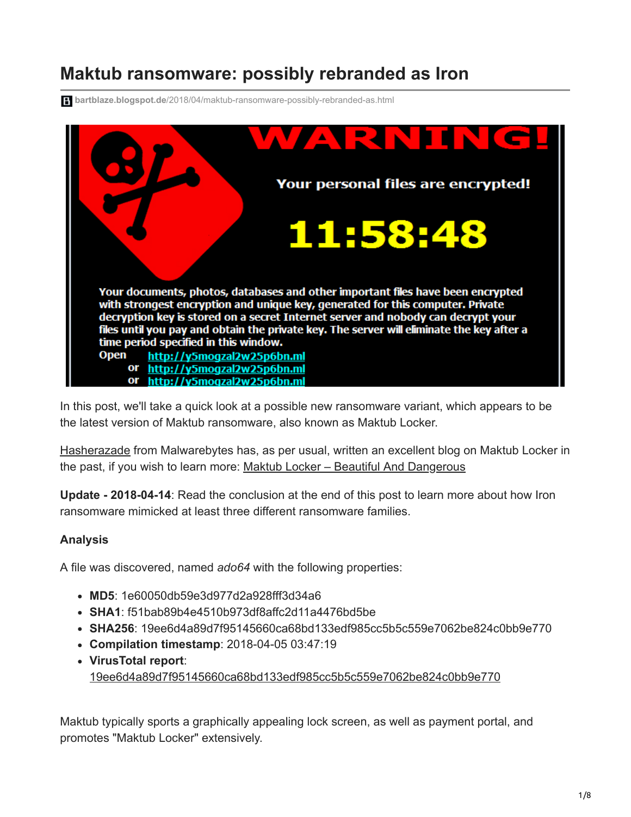## **Maktub ransomware: possibly rebranded as Iron**

**bartblaze.blogspot.de**[/2018/04/maktub-ransomware-possibly-rebranded-as.html](https://bartblaze.blogspot.de/2018/04/maktub-ransomware-possibly-rebranded-as.html)



In this post, we'll take a quick look at a possible new ransomware variant, which appears to be the latest version of Maktub ransomware, also known as Maktub Locker.

[Hasherazade](https://twitter.com/hasherezade) from Malwarebytes has, as per usual, written an excellent blog on Maktub Locker in the past, if you wish to learn more: [Maktub Locker – Beautiful And Dangerous](https://blog.malwarebytes.com/threat-analysis/2016/03/maktub-locker-beautiful-and-dangerous/)

**Update - 2018-04-14**: Read the conclusion at the end of this post to learn more about how Iron ransomware mimicked at least three different ransomware families.

## **Analysis**

A file was discovered, named *ado64* with the following properties:

- **MD5**: 1e60050db59e3d977d2a928fff3d34a6
- **SHA1**: f51bab89b4e4510b973df8affc2d11a4476bd5be
- **SHA256**: 19ee6d4a89d7f95145660ca68bd133edf985cc5b5c559e7062be824c0bb9e770
- **Compilation timestamp**: 2018-04-05 03:47:19
- **VirusTotal report**: [19ee6d4a89d7f95145660ca68bd133edf985cc5b5c559e7062be824c0bb9e770](https://www.virustotal.com/en/file/19ee6d4a89d7f95145660ca68bd133edf985cc5b5c559e7062be824c0bb9e770/analysis/1523265965/)

Maktub typically sports a graphically appealing lock screen, as well as payment portal, and promotes "Maktub Locker" extensively.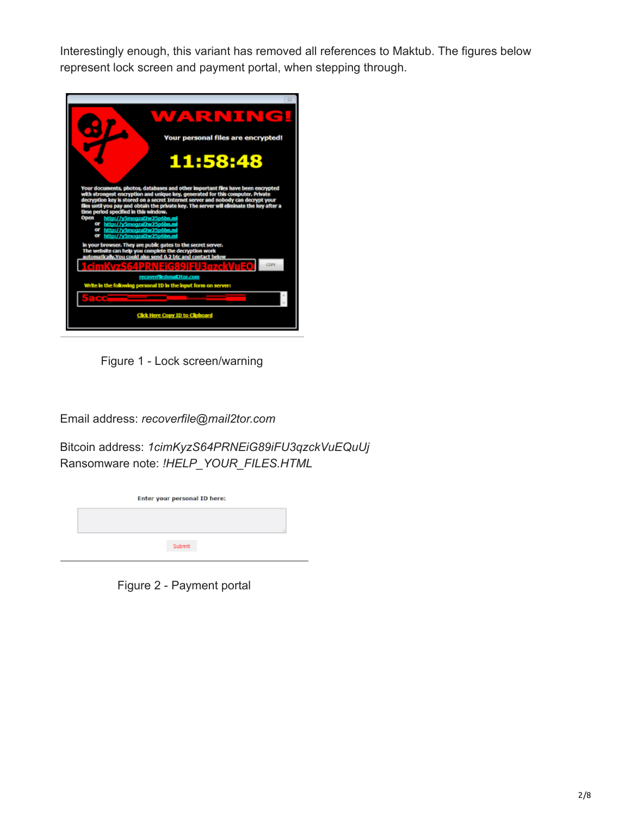Interestingly enough, this variant has removed all references to Maktub. The figures below represent lock screen and payment portal, when stepping through.



Figure 1 - Lock screen/warning

Email address: *recoverfile@mail2tor.com*

Bitcoin address: *1cimKyzS64PRNEiG89iFU3qzckVuEQuUj* Ransomware note: *!HELP\_YOUR\_FILES.HTML*

Figure 2 - Payment portal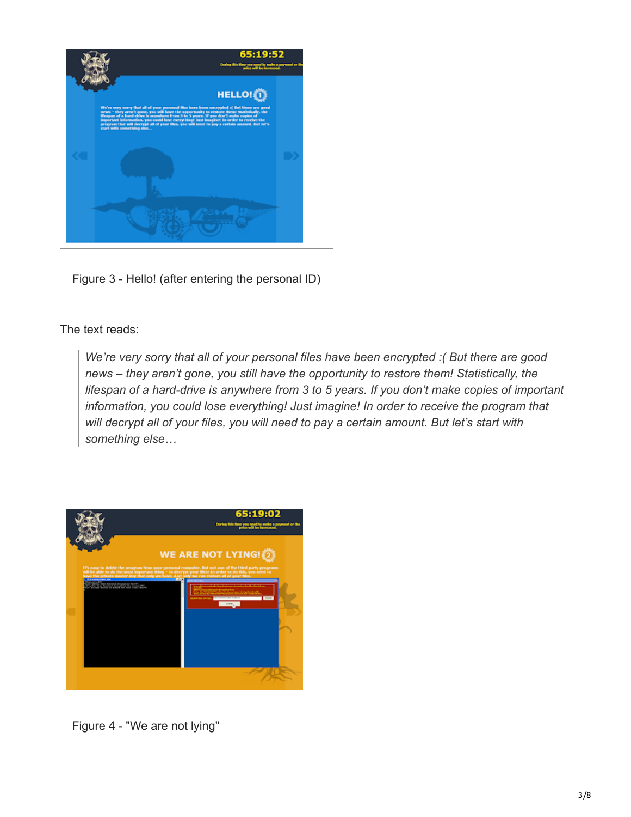

Figure 3 - Hello! (after entering the personal ID)

The text reads:

*We're very sorry that all of your personal files have been encrypted :( But there are good news – they aren't gone, you still have the opportunity to restore them! Statistically, the lifespan of a hard-drive is anywhere from 3 to 5 years. If you don't make copies of important information, you could lose everything! Just imagine! In order to receive the program that will decrypt all of your files, you will need to pay a certain amount. But let's start with something else…*



Figure 4 - "We are not lying"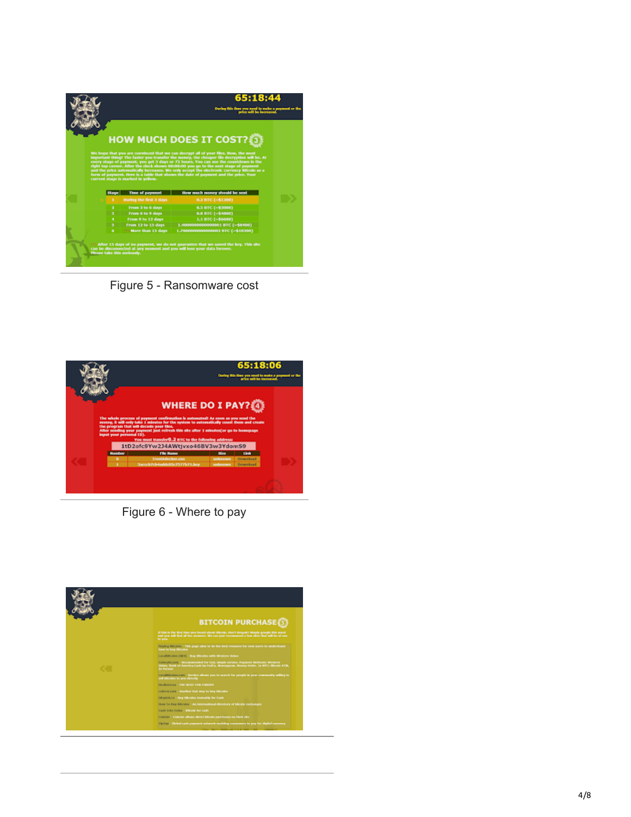

Figure 5 - Ransomware cost



Figure 6 - Where to pay

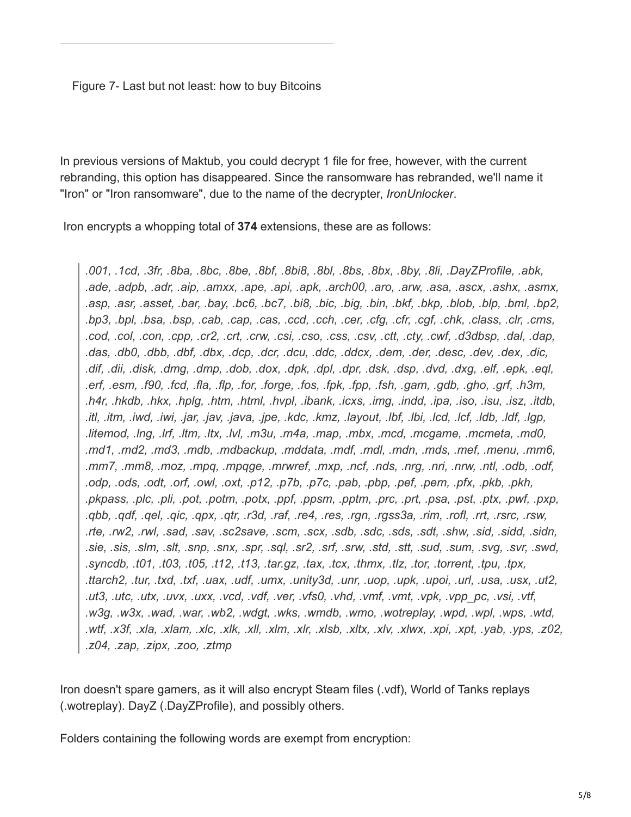## Figure 7- Last but not least: how to buy Bitcoins

In previous versions of Maktub, you could decrypt 1 file for free, however, with the current rebranding, this option has disappeared. Since the ransomware has rebranded, we'll name it "Iron" or "Iron ransomware", due to the name of the decrypter, *IronUnlocker*.

Iron encrypts a whopping total of **374** extensions, these are as follows:

*.001, .1cd, .3fr, .8ba, .8bc, .8be, .8bf, .8bi8, .8bl, .8bs, .8bx, .8by, .8li, .DayZProfile, .abk, .ade, .adpb, .adr, .aip, .amxx, .ape, .api, .apk, .arch00, .aro, .arw, .asa, .ascx, .ashx, .asmx, .asp, .asr, .asset, .bar, .bay, .bc6, .bc7, .bi8, .bic, .big, .bin, .bkf, .bkp, .blob, .blp, .bml, .bp2, .bp3, .bpl, .bsa, .bsp, .cab, .cap, .cas, .ccd, .cch, .cer, .cfg, .cfr, .cgf, .chk, .class, .clr, .cms, .cod, .col, .con, .cpp, .cr2, .crt, .crw, .csi, .cso, .css, .csv, .ctt, .cty, .cwf, .d3dbsp, .dal, .dap, .das, .db0, .dbb, .dbf, .dbx, .dcp, .dcr, .dcu, .ddc, .ddcx, .dem, .der, .desc, .dev, .dex, .dic, .dif, .dii, .disk, .dmg, .dmp, .dob, .dox, .dpk, .dpl, .dpr, .dsk, .dsp, .dvd, .dxg, .elf, .epk, .eql, .erf, .esm, .f90, .fcd, .fla, .flp, .for, .forge, .fos, .fpk, .fpp, .fsh, .gam, .gdb, .gho, .grf, .h3m, .h4r, .hkdb, .hkx, .hplg, .htm, .html, .hvpl, .ibank, .icxs, .img, .indd, .ipa, .iso, .isu, .isz, .itdb, .itl, .itm, .iwd, .iwi, .jar, .jav, .java, .jpe, .kdc, .kmz, .layout, .lbf, .lbi, .lcd, .lcf, .ldb, .ldf, .lgp, .litemod, .lng, .lrf, .ltm, .ltx, .lvl, .m3u, .m4a, .map, .mbx, .mcd, .mcgame, .mcmeta, .md0, .md1, .md2, .md3, .mdb, .mdbackup, .mddata, .mdf, .mdl, .mdn, .mds, .mef, .menu, .mm6, .mm7, .mm8, .moz, .mpq, .mpqge, .mrwref, .mxp, .ncf, .nds, .nrg, .nri, .nrw, .ntl, .odb, .odf, .odp, .ods, .odt, .orf, .owl, .oxt, .p12, .p7b, .p7c, .pab, .pbp, .pef, .pem, .pfx, .pkb, .pkh, .pkpass, .plc, .pli, .pot, .potm, .potx, .ppf, .ppsm, .pptm, .prc, .prt, .psa, .pst, .ptx, .pwf, .pxp, .qbb, .qdf, .qel, .qic, .qpx, .qtr, .r3d, .raf, .re4, .res, .rgn, .rgss3a, .rim, .rofl, .rrt, .rsrc, .rsw, .rte, .rw2, .rwl, .sad, .sav, .sc2save, .scm, .scx, .sdb, .sdc, .sds, .sdt, .shw, .sid, .sidd, .sidn, .sie, .sis, .slm, .slt, .snp, .snx, .spr, .sql, .sr2, .srf, .srw, .std, .stt, .sud, .sum, .svg, .svr, .swd, .syncdb, .t01, .t03, .t05, .t12, .t13, .tar.gz, .tax, .tcx, .thmx, .tlz, .tor, .torrent, .tpu, .tpx, .ttarch2, .tur, .txd, .txf, .uax, .udf, .umx, .unity3d, .unr, .uop, .upk, .upoi, .url, .usa, .usx, .ut2, .ut3, .utc, .utx, .uvx, .uxx, .vcd, .vdf, .ver, .vfs0, .vhd, .vmf, .vmt, .vpk, .vpp\_pc, .vsi, .vtf, .w3g, .w3x, .wad, .war, .wb2, .wdgt, .wks, .wmdb, .wmo, .wotreplay, .wpd, .wpl, .wps, .wtd, .wtf, .x3f, .xla, .xlam, .xlc, .xlk, .xll, .xlm, .xlr, .xlsb, .xltx, .xlv, .xlwx, .xpi, .xpt, .yab, .yps, .z02, .z04, .zap, .zipx, .zoo, .ztmp*

Iron doesn't spare gamers, as it will also encrypt Steam files (.vdf), World of Tanks replays (.wotreplay). DayZ (.DayZProfile), and possibly others.

Folders containing the following words are exempt from encryption: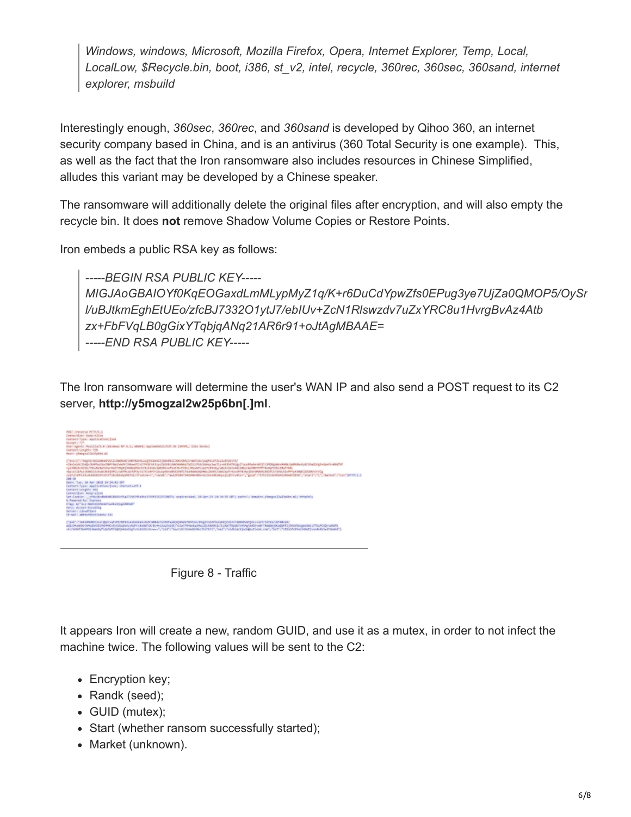*Windows, windows, Microsoft, Mozilla Firefox, Opera, Internet Explorer, Temp, Local, LocalLow, \$Recycle.bin, boot, i386, st\_v2, intel, recycle, 360rec, 360sec, 360sand, internet explorer, msbuild*

Interestingly enough, *360sec*, *360rec*, and *360sand* is developed by Qihoo 360, an internet security company based in China, and is an antivirus (360 Total Security is one example). This, as well as the fact that the Iron ransomware also includes resources in Chinese Simplified, alludes this variant may be developed by a Chinese speaker.

The ransomware will additionally delete the original files after encryption, and will also empty the recycle bin. It does **not** remove Shadow Volume Copies or Restore Points.

Iron embeds a public RSA key as follows:

*-----BEGIN RSA PUBLIC KEY----- MIGJAoGBAIOYf0KqEOGaxdLmMLypMyZ1q/K+r6DuCdYpwZfs0EPug3ye7UjZa0QMOP5/OySr l/uBJtkmEghEtUEo/zfcBJ7332O1ytJ7/ebIUv+ZcN1Rlswzdv7uZxYRC8u1HvrgBvAz4Atb zx+FbFVqLB0gGixYTqbjqANq21AR6r91+oJtAgMBAAE= -----END RSA PUBLIC KEY-----*

The Iron ransomware will determine the user's WAN IP and also send a POST request to its C2 server, **http://y5mogzal2w25p6bn[.]ml**.





It appears Iron will create a new, random GUID, and use it as a mutex, in order to not infect the machine twice. The following values will be sent to the C2:

- Encryption key;
- Randk (seed);
- GUID (mutex);
- Start (whether ransom successfully started);
- Market (unknown).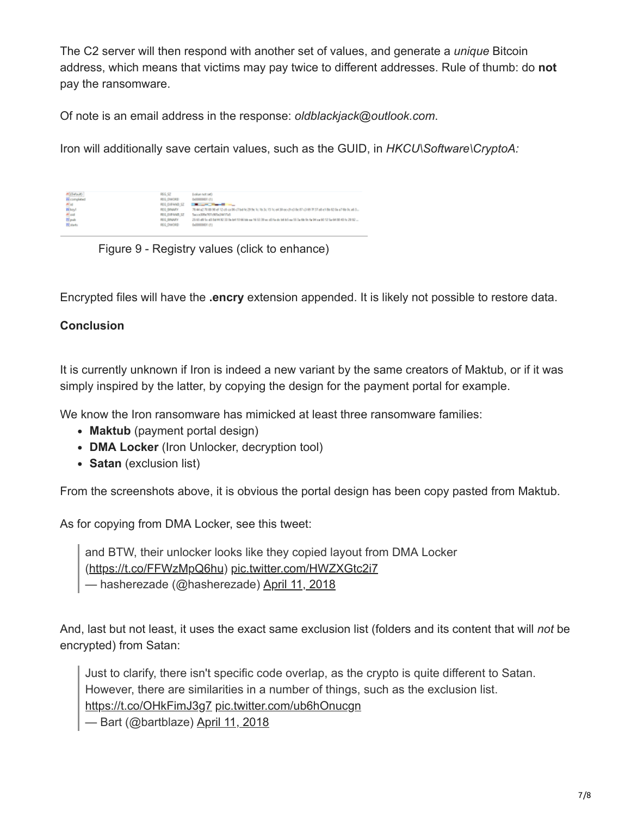The C2 server will then respond with another set of values, and generate a *unique* Bitcoin address, which means that victims may pay twice to different addresses. Rule of thumb: do **not** pay the ransomware.

Of note is an email address in the response: *oldblackjack@outlook.com*.

Iron will additionally save certain values, such as the GUID, in *HKCU\Software\CryptoA:*

| #(Default)<br><b>TH</b> completed    | RGG 52<br><b>REG. DWO ED</b>                                | Editor Act Offi-<br><b>Bellinoport (1)</b>                                                                                                                   |
|--------------------------------------|-------------------------------------------------------------|--------------------------------------------------------------------------------------------------------------------------------------------------------------|
| mise<br>원kgd<br>본대<br>라 <sub>리</sub> | <b>REG.EXPAND SZ</b><br>FEG. BRAARY<br><b>BEE EXPAND IF</b> | <b>Brown State Street</b><br>当年に苦苦知る兄弟の第(764年注放天皇女)15兄が第66世の秋野の勝者万勝の勝民時が勝気前し。<br>Senior STRATE CREW SERVICE                                                  |
| <b>Ti</b> stads                      | <b>REE BRANTY</b><br><b>REG. DIRORD</b>                     | 25 65 49 San 20 ft 20 00 33 San 14 10 66 San 24 55 St 30 ann 20 San 24 Ed 24 San 25 San 26 San 26 San 26 San 26 San 26 San 26 San 27 San 27<br>6-8800001 (T) |

Figure 9 - Registry values (click to enhance)

Encrypted files will have the **.encry** extension appended. It is likely not possible to restore data.

## **Conclusion**

It is currently unknown if Iron is indeed a new variant by the same creators of Maktub, or if it was simply inspired by the latter, by copying the design for the payment portal for example.

We know the Iron ransomware has mimicked at least three ransomware families:

- **Maktub** (payment portal design)
- **DMA Locker** (Iron Unlocker, decryption tool)
- **Satan** (exclusion list)

From the screenshots above, it is obvious the portal design has been copy pasted from Maktub.

As for copying from DMA Locker, see this tweet:

and BTW, their unlocker looks like they copied layout from DMA Locker [\(https://t.co/FFWzMpQ6hu](https://t.co/FFWzMpQ6hu)) [pic.twitter.com/HWZXGtc2i7](https://t.co/HWZXGtc2i7) — hasherezade (@hasherezade) [April 11, 2018](https://twitter.com/hasherezade/status/983885077829640192?ref_src=twsrc%5Etfw)

And, last but not least, it uses the exact same exclusion list (folders and its content that will *not* be encrypted) from Satan:

Just to clarify, there isn't specific code overlap, as the crypto is quite different to Satan. However, there are similarities in a number of things, such as the exclusion list. <https://t.co/OHkFimJ3g7> [pic.twitter.com/ub6hOnucgn](https://t.co/ub6hOnucgn)

— Bart (@bartblaze) [April 11, 2018](https://twitter.com/bartblaze/status/984173690035363840?ref_src=twsrc%5Etfw)